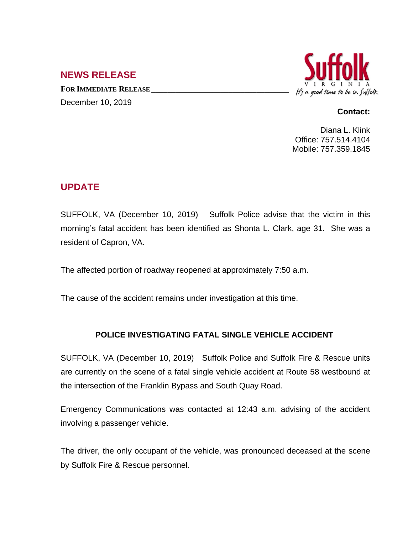## **NEWS RELEASE**

**FOR IMMEDIATE RELEASE \_\_\_\_\_\_\_\_\_\_\_\_\_\_\_\_\_\_\_\_\_\_\_\_\_\_\_\_\_\_\_\_\_\_** December 10, 2019



## **Contact:**

Diana L. Klink Office: 757.514.4104 Mobile: 757.359.1845

## **UPDATE**

SUFFOLK, VA (December 10, 2019) Suffolk Police advise that the victim in this morning's fatal accident has been identified as Shonta L. Clark, age 31. She was a resident of Capron, VA.

The affected portion of roadway reopened at approximately 7:50 a.m.

The cause of the accident remains under investigation at this time.

## **POLICE INVESTIGATING FATAL SINGLE VEHICLE ACCIDENT**

SUFFOLK, VA (December 10, 2019) Suffolk Police and Suffolk Fire & Rescue units are currently on the scene of a fatal single vehicle accident at Route 58 westbound at the intersection of the Franklin Bypass and South Quay Road.

Emergency Communications was contacted at 12:43 a.m. advising of the accident involving a passenger vehicle.

The driver, the only occupant of the vehicle, was pronounced deceased at the scene by Suffolk Fire & Rescue personnel.